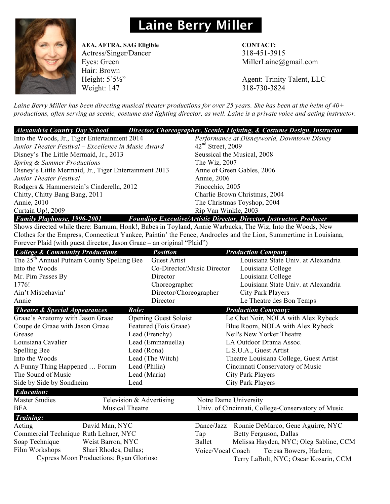## **Laine Berry Miller**



## **AEA, AFTRA, SAG Eligible CONTACT:**

Hair: Brown Weight: 147 318-730-3824

Actress/Singer/Dancer 318-451-3915 Eyes: Green MillerLaine@gmail.com

Height: 5'5½" Agent: Trinity Talent, LLC

*Laine Berry Miller has been directing musical theater productions for over 25 years. She has been at the helm of 40+ productions, often serving as scenic, costume and lighting director, as well. Laine is a private voice and acting instructor.*

|                                               | Alexandria Country Day School Director, Choreographer, Scenic, Lighting, & Costume Design, Instructor |
|-----------------------------------------------|-------------------------------------------------------------------------------------------------------|
| Into the Woods, Jr., Tiger Entertainment 2014 | Performance at Disneyworld, Downtown Disney                                                           |

| $\frac{1}{1000}$ and $\frac{1}{1000}$ and $\frac{1}{1000}$ and $\frac{1}{1000}$ and $\frac{1}{1000}$ and $\frac{1}{1000}$ and $\frac{1}{1000}$ |                                                                                                                                                                                                                                                                                                                   |  |  |  |
|------------------------------------------------------------------------------------------------------------------------------------------------|-------------------------------------------------------------------------------------------------------------------------------------------------------------------------------------------------------------------------------------------------------------------------------------------------------------------|--|--|--|
| Junior Theater Festival – Excellence in Music Award                                                                                            | $42nd$ Street, 2009                                                                                                                                                                                                                                                                                               |  |  |  |
| Disney's The Little Mermaid, Jr., 2013                                                                                                         | Seussical the Musical, 2008                                                                                                                                                                                                                                                                                       |  |  |  |
| Spring & Summer Productions                                                                                                                    | The Wiz, 2007                                                                                                                                                                                                                                                                                                     |  |  |  |
| Disney's Little Mermaid, Jr., Tiger Entertainment 2013                                                                                         | Anne of Green Gables, 2006                                                                                                                                                                                                                                                                                        |  |  |  |
| Junior Theater Festival                                                                                                                        | Annie, 2006                                                                                                                                                                                                                                                                                                       |  |  |  |
| Rodgers & Hammerstein's Cinderella, 2012                                                                                                       | Pinocchio, 2005                                                                                                                                                                                                                                                                                                   |  |  |  |
| Chitty, Chitty Bang Bang, 2011                                                                                                                 | Charlie Brown Christmas, 2004                                                                                                                                                                                                                                                                                     |  |  |  |
| Annie, 2010                                                                                                                                    | The Christmas Toyshop, 2004                                                                                                                                                                                                                                                                                       |  |  |  |
| Curtain Up!, 2009                                                                                                                              | Rip Van Winkle, 2003                                                                                                                                                                                                                                                                                              |  |  |  |
| $F = 100$ $F = 100$ $F = 100$<br>$\sim$<br>$\mathbf{r}$                                                                                        | $\mathcal{P}$ and $\mathcal{P}$ and $\mathcal{P}$ and $\mathcal{P}$ and $\mathcal{P}$ and $\mathcal{P}$ and $\mathcal{P}$ and $\mathcal{P}$ and $\mathcal{P}$ and $\mathcal{P}$ and $\mathcal{P}$ and $\mathcal{P}$ and $\mathcal{P}$ and $\mathcal{P}$ and $\mathcal{P}$ and $\mathcal{P}$ and $\mathcal{P}$ and |  |  |  |

 *Family Playhouse, 1996-2001 Founding Executive/Artistic Director, Director, Instructor, Producer* Shows directed while there: Barnum, Honk!, Babes in Toyland, Annie Warbucks, The Wiz, Into the Woods, New Clothes for the Empress, Connecticut Yankee, Paintin' the Fence, Androcles and the Lion, Summertime in Louisiana, Forever Plaid (with guest director, Jason Graae – an original "Plaid")

| <b>College &amp; Community Productions</b>             |                          | <b>Position</b>              |                                                    |                            | <b>Production Company</b>               |  |
|--------------------------------------------------------|--------------------------|------------------------------|----------------------------------------------------|----------------------------|-----------------------------------------|--|
| The 25 <sup>th</sup> Annual Putnam County Spelling Bee |                          | <b>Guest Artist</b>          |                                                    |                            | Louisiana State Univ. at Alexandria     |  |
| Into the Woods                                         |                          | Co-Director/Music Director   |                                                    |                            | Louisiana College                       |  |
| Mr. Pim Passes By                                      |                          | Director                     |                                                    |                            | Louisiana College                       |  |
| 1776!                                                  |                          | Choreographer                |                                                    |                            | Louisiana State Univ. at Alexandria     |  |
| Ain't Misbehavin'                                      |                          | Director/Choreographer       |                                                    |                            | City Park Players                       |  |
| Annie                                                  |                          | Director                     |                                                    |                            | Le Theatre des Bon Temps                |  |
| <b>Theatre &amp; Special Appearances</b>               |                          |                              |                                                    | <b>Production Company:</b> |                                         |  |
| Graae's Anatomy with Jason Graae                       |                          | <b>Opening Guest Soloist</b> |                                                    |                            | Le Chat Noir, NOLA with Alex Rybeck     |  |
| Coupe de Graae with Jason Graae                        |                          | Featured (Fois Graae)        | Blue Room, NOLA with Alex Rybeck                   |                            |                                         |  |
| Grease                                                 |                          | Lead (Frenchy)               |                                                    | Neil's New Yorker Theatre  |                                         |  |
| Louisiana Cavalier<br>Lead (Emmanuella)                |                          |                              | LA Outdoor Drama Assoc.                            |                            |                                         |  |
| Spelling Bee                                           | Lead (Rona)              |                              | L.S.U.A., Guest Artist                             |                            |                                         |  |
| Into the Woods                                         | Lead (The Witch)         |                              |                                                    |                            | Theatre Louisiana College, Guest Artist |  |
| A Funny Thing Happened  Forum<br>Lead (Philia)         |                          |                              |                                                    |                            | Cincinnati Conservatory of Music        |  |
| The Sound of Music                                     | Lead (Maria)             |                              |                                                    |                            | City Park Players                       |  |
| Side by Side by Sondheim                               | Lead                     |                              | <b>City Park Players</b>                           |                            |                                         |  |
| <b>Education:</b>                                      |                          |                              |                                                    |                            |                                         |  |
| <b>Master Studies</b>                                  | Television & Advertising |                              | Notre Dame University                              |                            |                                         |  |
| <b>BFA</b>                                             | <b>Musical Theatre</b>   |                              | Univ. of Cincinnati, College-Conservatory of Music |                            |                                         |  |
| <b>Training:</b>                                       |                          |                              |                                                    |                            |                                         |  |
| Acting                                                 | David Man, NYC           |                              | Dance/Jazz                                         |                            | Ronnie DeMarco, Gene Aguirre, NYC       |  |
| Commercial Technique Ruth Lehner, NYC                  |                          | Tap                          |                                                    | Betty Ferguson, Dallas     |                                         |  |
| Soap Technique                                         | Weist Barron, NYC        |                              | Ballet                                             |                            | Melissa Hayden, NYC; Oleg Sabline, CCM  |  |
| Shari Rhodes, Dallas;<br>Film Workshops                |                          |                              | Voice/Vocal Coach                                  |                            | Teresa Bowers, Harlem;                  |  |
| Cypress Moon Productions; Ryan Glorioso                |                          |                              |                                                    |                            | Terry LaBolt, NYC; Oscar Kosarin, CCM   |  |